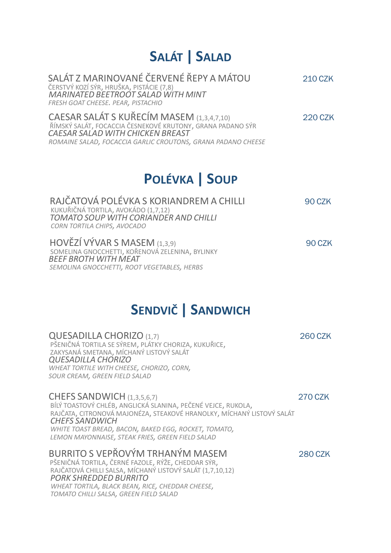## **SALÁT | SALAD**

| SALÁT Z MARINOVANÉ ČERVENÉ ŘEPY A MÁTOU<br>ČERSTVÝ KOZÍ SÝR, HRUŠKA, PISTÁCIE (7,8)<br><b>MARINATED BEETROOT SALAD WITH MINT</b><br>FRESH GOAT CHEESE. PEAR, PISTACHIO                                                                               | <b>210 CZK</b> |
|------------------------------------------------------------------------------------------------------------------------------------------------------------------------------------------------------------------------------------------------------|----------------|
| CAESAR SALÁT S KUŘECÍM MASEM (1,3,4,7,10)<br>ŘÍMSKÝ SALÁT, FOCACCIA ČESNEKOVÉ KRUTONY, GRANA PADANO SÝR<br><b>CAESAR SALAD WITH CHICKEN BREAST</b><br>ROMAINE SALAD, FOCACCIA GARLIC CROUTONS, GRANA PADANO CHEESE                                   | <b>220 CZK</b> |
| <b>POLÉVKA   SOUP</b>                                                                                                                                                                                                                                |                |
| RAJČATOVÁ POLÉVKA S KORIANDREM A CHILLI<br>KUKUŘIČNÁ TORTILA, AVOKÁDO (1,7,12)<br>TOMATO SOUP WITH CORIANDER AND CHILLI<br>CORN TORTILA CHIPS, AVOCADO                                                                                               | 90 CZK         |
| HOVĚZÍ VÝVAR S MASEM (1,3,9)<br>SOMELINA GNOCCHETTI, KOŘENOVÁ ZELENINA, BYLINKY<br><b>BEEF BROTH WITH MEAT</b><br>SEMOLINA GNOCCHETTI, ROOT VEGETABLES, HERBS                                                                                        | <b>90 CZK</b>  |
| <b>SENDVIČ   SANDWICH</b>                                                                                                                                                                                                                            |                |
| QUESADILLA CHORIZO (1,7)<br>PŠENIČNÁ TORTILA SE SÝREM, PLÁTKY CHORIZA, KUKUŘICE,<br>ZAKYSANÁ SMETANA, MÍCHANÝ LISTOVÝ SALÁT<br><b>QUESADILLA CHORIZO</b><br>WHEAT TORTILE WITH CHEESE, CHORIZO, CORN,<br>SOUR CREAM, GREEN FIELD SALAD               | <b>260 CZK</b> |
| CHEFS SANDWICH (1,3,5,6,7)<br>BÍLÝ TOASTOVÝ CHLÉB, ANGLICKÁ SLANINA, PEČENÉ VEJCE, RUKOLA,<br>RAJČATA, CITRONOVÁ MAJONÉZA, STEAKOVÉ HRANOLKY, MÍCHANÝ LISTOVÝ SALÁT<br><b>CHEFS SANDWICH</b><br>WHITE TOAST BREAD, BACON, BAKED EGG, ROCKET, TOMATO, | <b>270 CZK</b> |

 *LEMON MAYONNAISE, STEAK FRIES, GREEN FIELD SALAD* 

## BURRITO S VEPŘOVÝM TRHANÝM MASEM 280 CZK

 PŠENIČNÁ TORTILA, ČERNÉ FAZOLE, RÝŽE, CHEDDAR SÝR, RAJČATOVÁ CHILLI SALSA, MÍCHANÝ LISTOVÝ SALÁT (1,7,10,12)  *PORK SHREDDED BURRITO WHEAT TORTILA, BLACK BEAN, RICE, CHEDDAR CHEESE, TOMATO CHILLI SALSA, GREEN FIELD SALAD*